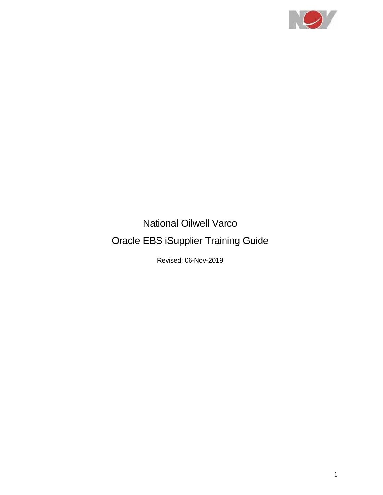

# National Oilwell Varco Oracle EBS iSupplier Training Guide

Revised: 06-Nov-2019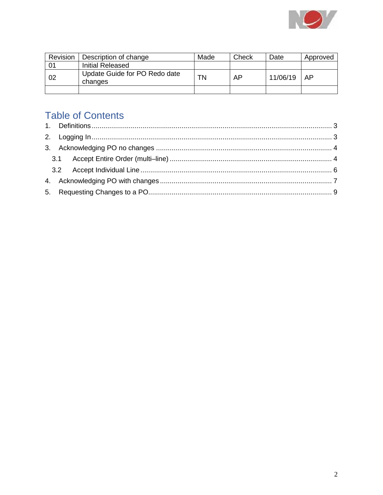

| Revision | Description of change                    | Made | Check | Date     | Approved |
|----------|------------------------------------------|------|-------|----------|----------|
| 01       | Initial Released                         |      |       |          |          |
| 02       | Update Guide for PO Redo date<br>changes | ΤN   | AP    | 11/06/19 | AP       |
|          |                                          |      |       |          |          |

### **Table of Contents**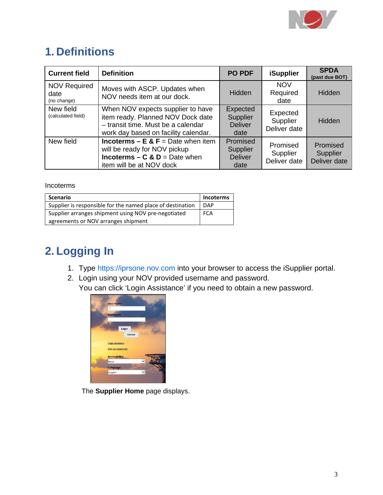

## <span id="page-2-0"></span>**1. Definitions**

| <b>Current field</b>                       | <b>Definition</b>                                                                                                                                     | <b>PO PDF</b>                                  | <b>iSupplier</b>                     | <b>SPDA</b><br>(past due BOT)               |
|--------------------------------------------|-------------------------------------------------------------------------------------------------------------------------------------------------------|------------------------------------------------|--------------------------------------|---------------------------------------------|
| <b>NOV Required</b><br>date<br>(no change) | Moves with ASCP. Updates when<br>NOV needs item at our dock.                                                                                          | Hidden                                         | <b>NOV</b><br>Required<br>date       | Hidden                                      |
| New field<br>(calculated field)            | When NOV expects supplier to have<br>item ready. Planned NOV Dock date<br>- transit time. Must be a calendar<br>work day based on facility calendar.  | Expected<br>Supplier<br><b>Deliver</b><br>date | Expected<br>Supplier<br>Deliver date | Hidden                                      |
| New field                                  | <b>Incoterms – E &amp; F</b> = Date when item<br>will be ready for NOV pickup<br><b>Incoterms – C &amp; D = Date when</b><br>item will be at NOV dock | Promised<br>Supplier<br><b>Deliver</b><br>date | Promised<br>Supplier<br>Deliver date | Promised<br><b>Supplier</b><br>Deliver date |

Incoterms

| <b>Scenario</b>                                            | <b>Incoterms</b> |
|------------------------------------------------------------|------------------|
| Supplier is responsible for the named place of destination | <b>DAP</b>       |
| Supplier arranges shipment using NOV pre-negotiated        | <b>FCA</b>       |
| agreements or NOV arranges shipment                        |                  |

# <span id="page-2-1"></span>**2. Logging In**

- 1. Type https://iprsone.nov.com into your browser to access the iSupplier portal.
- 2. Login using your NOV provided username and password. You can click 'Login Assistance' if you need to obtain a new password.



The **Supplier Home** page displays.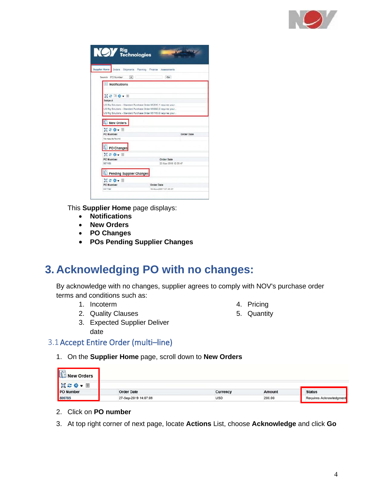

| <b>Supplier Home</b>                                                                  | Orders Shipments Planning Finance Assessments                     |
|---------------------------------------------------------------------------------------|-------------------------------------------------------------------|
| Search PO Number<br>$\overline{\mathbf{v}}$                                           | Go                                                                |
| <b>Notifications</b>                                                                  |                                                                   |
| $\mathbb{R}$ $\mathbb{C}$ $\overline{\mathbb{O}}$ $\mathbb{O}$ $\bullet$ $\mathbb{R}$ |                                                                   |
| Subject                                                                               |                                                                   |
|                                                                                       | US Rig Solutions - Standard Purchase Order 662610.1 requires your |
|                                                                                       | US Rig Solutions - Standard Purchase Order 658060.0 requires your |
|                                                                                       | US Rig Solutions - Standard Purchase Order 007103.0 requires your |
| New Orders                                                                            |                                                                   |
| □ご良→Ⅲ                                                                                 |                                                                   |
| PO Number                                                                             | Order Date                                                        |
| No results found.                                                                     |                                                                   |
|                                                                                       |                                                                   |
| PO Changes                                                                            |                                                                   |
| 日ご春の田                                                                                 |                                                                   |
| PO Number                                                                             | Order Date                                                        |
| 667158                                                                                | 22-Mar-2018 12:05:47                                              |
| Pending Supplier Changes                                                              |                                                                   |
| DCO. II                                                                               |                                                                   |
| PO Number                                                                             | Order Date                                                        |

This **Supplier Home** page displays:

- **Notifications**
- **New Orders**
- **PO Changes**
- **POs Pending Supplier Changes**

### <span id="page-3-0"></span>**3. Acknowledging PO with no changes:**

By acknowledge with no changes, supplier agrees to comply with NOV's purchase order terms and conditions such as:

- 1. Incoterm
- 2. Quality Clauses
- <span id="page-3-1"></span>4. Pricing
- 5. Quantity

3. Expected Supplier Deliver date

#### 3.1Accept Entire Order (multi–line)

1. On the **Supplier Home** page, scroll down to **New Orders**

| E<br><b>New Orders</b> |                      |            |        |                         |
|------------------------|----------------------|------------|--------|-------------------------|
| <b>BCCC</b><br>抽       |                      |            |        |                         |
| PO Number              | <b>Order Date</b>    | Currency   | Amount | <b>Status</b>           |
| 800785                 | 27-Sep-2019 14:07:09 | <b>USD</b> | 200.00 | Requires Acknowledgment |

- 2. Click on **PO number**
- 3. At top right corner of next page, locate **Actions** List, choose **Acknowledge** and click **Go**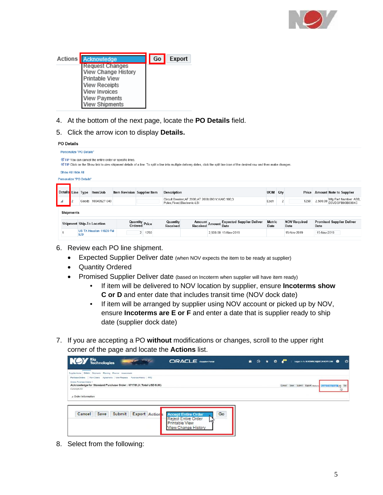

| <b>Actions Acknowledge</b>                                                                                                                  | Go | Export |
|---------------------------------------------------------------------------------------------------------------------------------------------|----|--------|
| Request Changes<br>View Change History<br>Printable View<br><b>View Receipts</b><br>View Invoices<br><b>View Payments</b><br>View Shipments |    |        |

- 4. At the bottom of the next page, locate the **PO Details** field.
- 5. Click the arrow icon to display **Details.**

| <b>PO Details</b>        |                                                        |                             |                           |                      |                                                                                     |                                                                                                                                                                                  |                       |                             |             |                                            |
|--------------------------|--------------------------------------------------------|-----------------------------|---------------------------|----------------------|-------------------------------------------------------------------------------------|----------------------------------------------------------------------------------------------------------------------------------------------------------------------------------|-----------------------|-----------------------------|-------------|--------------------------------------------|
| Personalize "PO Details" |                                                        |                             |                           |                      |                                                                                     |                                                                                                                                                                                  |                       |                             |             |                                            |
|                          | TIP You can cancel the entire order or specific lines. |                             |                           |                      |                                                                                     | TIP Click on the Show link to view shipment details of a line. To split a line into multiple delivery dates, click the split line icon of the desired row and then make changes. |                       |                             |             |                                            |
| Show All Hide All        |                                                        |                             |                           |                      |                                                                                     |                                                                                                                                                                                  |                       |                             |             |                                            |
| Personalize "PO Details" |                                                        |                             |                           |                      |                                                                                     |                                                                                                                                                                                  |                       |                             |             |                                            |
|                          |                                                        |                             |                           |                      |                                                                                     |                                                                                                                                                                                  |                       |                             |             |                                            |
| Details Line Type        | Item/Job                                               | Item Revision Supplier Item |                           | <b>Description</b>   |                                                                                     |                                                                                                                                                                                  | <b>UOM</b> Qtv        |                             |             | Price Amount Note to Supplier              |
|                          | 10049527-049<br>Goods                                  |                             |                           |                      | Circuit Breaker, AF 2000; AT 2000; 690 V; KAIC 100; 3<br>Poles;Fixed;Electronic-LSI |                                                                                                                                                                                  | Each                  | 1250                        | 2,500.00    | Mfg Part Number: ABB, I<br>D3VDGFB00B000XC |
| <b>Shipments</b>         |                                                        |                             |                           |                      |                                                                                     |                                                                                                                                                                                  |                       |                             |             |                                            |
|                          | <b>Shipment Ship-To Location</b>                       |                             | Quantity Price<br>Ordered | Quantity<br>Received | Amount<br>Amount<br>Received                                                        | <b>Expected Supplier Deliver</b><br>Date                                                                                                                                         | <b>Metric</b><br>Date | <b>NOV Required</b><br>Date | Date        | <b>Promised Supplier Deliver</b>           |
|                          | US TX Houston 11929 FM<br>529                          |                             | 2<br>1250                 |                      |                                                                                     | 2,500.00 15-Nov-2019                                                                                                                                                             |                       | 15-Nov-2019                 | 15-Nov-2019 |                                            |

- 6. Review each PO line shipment.
	- Expected Supplier Deliver date (when NOV expects the item to be ready at supplier)
	- Quantity Ordered
	- Promised Supplier Deliver date (based on Incoterm when supplier will have item ready)
		- If item will be delivered to NOV location by supplier, ensure **Incoterms show C or D** and enter date that includes transit time (NOV dock date)
		- If item will be arranged by supplier using NOV account or picked up by NOV, ensure **Incoterms are E or F** and enter a date that is supplier ready to ship date (supplier dock date)
- 7. If you are accepting a PO **without** modifications or changes, scroll to the upper right corner of the page and locate the **Actions** list.

| <b>NOY</b> Fechnologies<br><b>Van Albert</b>                                                   | <b>ORACLE</b> isupplier Portal   | <b>A</b> ⊙ ★ | 登 | Logged in As M HEINRICH@BECKHOFF.COM                    |  | $\omega$ |
|------------------------------------------------------------------------------------------------|----------------------------------|--------------|---|---------------------------------------------------------|--|----------|
| Supplier Home Orders Shipments Planning Finance Assessments                                    |                                  |              |   |                                                         |  |          |
| Purchase Orders   Work Orders Agreements   View Requests Purchase History   RFQ                |                                  |              |   |                                                         |  |          |
| Orders Purchase Orders ><br>Acknowledge for Standard Purchase Order: 671781,0 (Total USD 8.00) |                                  |              |   | Cancel Save Submit Export Actions Accept From Only V Go |  |          |
| Currency=USD                                                                                   |                                  |              |   |                                                         |  |          |
| a Order Information                                                                            |                                  |              |   |                                                         |  |          |
|                                                                                                |                                  |              |   |                                                         |  |          |
|                                                                                                |                                  |              |   |                                                         |  |          |
| Export Actions<br>Submit<br>Save<br>Cancel                                                     | Go<br><b>Accept Entire Order</b> |              |   |                                                         |  |          |
|                                                                                                | <b>Reject Entire Order</b><br>w  |              |   |                                                         |  |          |
|                                                                                                | <b>Printable View</b>            |              |   |                                                         |  |          |
|                                                                                                | View Change History              |              |   |                                                         |  |          |

8. Select from the following: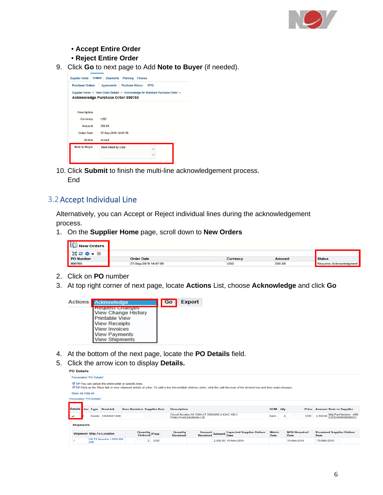

- **Accept Entire Order**
- **Reject Entire Order**
- 9. Click **Go** to next page to Add **Note to Buyer** (if needed).

| <b>Supplier Home</b>                                                           | <b>Orders</b> | <b>Shipments</b>     | Planning                | Finance |            |  |
|--------------------------------------------------------------------------------|---------------|----------------------|-------------------------|---------|------------|--|
| <b>Purchase Orders</b>                                                         |               | Agreements           | <b>Purchase History</b> |         | <b>RFQ</b> |  |
| Supplier Home > View Order Details > Acknowledge for Standard Purchase Order > |               |                      |                         |         |            |  |
| Acknowledge Purchase Order 800785                                              |               |                      |                         |         |            |  |
|                                                                                |               |                      |                         |         |            |  |
| Description                                                                    |               |                      |                         |         |            |  |
| Currency                                                                       |               | <b>USD</b>           |                         |         |            |  |
| Amount                                                                         |               | 200.00               |                         |         |            |  |
| Order Date                                                                     |               | 27-Sep-2019 14:07:09 |                         |         |            |  |
| Action                                                                         |               | Accept               |                         |         |            |  |
| Note to Buyer                                                                  |               | Meet Need by Date    |                         |         |            |  |
|                                                                                |               |                      |                         |         |            |  |
|                                                                                |               |                      |                         |         |            |  |
|                                                                                |               |                      |                         |         |            |  |

10. Click **Submit** to finish the multi-line acknowledgement process. **End** 

#### <span id="page-5-0"></span>3.2Accept Individual Line

Alternatively, you can Accept or Reject individual lines during the acknowledgement process.

1. On the **Supplier Home** page, scroll down to **New Orders**

| <b>New Orders</b> |                      |            |        |                         |
|-------------------|----------------------|------------|--------|-------------------------|
| 画 2 章 ▼ 画         |                      |            |        |                         |
| <b>PO Number</b>  | <b>Order Date</b>    | Currency   | Amount | <b>Status</b>           |
| 800785            | 27-Sep-2019 14:07:09 | <b>USD</b> | 200.00 | Requires Acknowledgment |

- 2. Click on **PO** number
- 3. At top right corner of next page, locate **Actions** List, choose **Acknowledge** and click **Go**



- 4. At the bottom of the next page, locate the **PO Details** field.
- 5. Click the arrow icon to display **Details.**

| $\sim$ pound     |       |                                |                                                                                                      |                                                                                  |                                        |                             |                            |                                          |                                                                                                                   |                                 |                                                                                                                                                                                    |                                                 |
|------------------|-------|--------------------------------|------------------------------------------------------------------------------------------------------|----------------------------------------------------------------------------------|----------------------------------------|-----------------------------|----------------------------|------------------------------------------|-------------------------------------------------------------------------------------------------------------------|---------------------------------|------------------------------------------------------------------------------------------------------------------------------------------------------------------------------------|-------------------------------------------------|
|                  |       |                                |                                                                                                      |                                                                                  |                                        |                             |                            |                                          |                                                                                                                   |                                 |                                                                                                                                                                                    |                                                 |
|                  |       |                                |                                                                                                      |                                                                                  |                                        |                             |                            |                                          |                                                                                                                   |                                 |                                                                                                                                                                                    |                                                 |
|                  |       |                                |                                                                                                      |                                                                                  |                                        |                             |                            |                                          |                                                                                                                   |                                 |                                                                                                                                                                                    |                                                 |
|                  |       |                                |                                                                                                      |                                                                                  |                                        |                             |                            |                                          |                                                                                                                   |                                 |                                                                                                                                                                                    |                                                 |
|                  |       |                                |                                                                                                      |                                                                                  |                                        |                             |                            |                                          |                                                                                                                   |                                 |                                                                                                                                                                                    |                                                 |
|                  |       |                                |                                                                                                      |                                                                                  | <b>Description</b>                     |                             |                            |                                          |                                                                                                                   |                                 |                                                                                                                                                                                    | <b>Amount Note to Supplier</b>                  |
|                  | Goods | 10049527-049                   |                                                                                                      |                                                                                  |                                        |                             |                            |                                          | Each                                                                                                              | 1250                            |                                                                                                                                                                                    | Mfg Part Number: ABB,<br>D3VDGFB00B000XC        |
| <b>Shipments</b> |       |                                |                                                                                                      |                                                                                  |                                        |                             |                            |                                          |                                                                                                                   |                                 |                                                                                                                                                                                    |                                                 |
|                  |       |                                |                                                                                                      |                                                                                  | Quantity<br>Received                   |                             |                            | <b>Expected Supplier Deliver</b><br>Date | Date                                                                                                              | <b>NOV Required</b><br>Date     | Date                                                                                                                                                                               | <b>Promised Supplier Deliver</b>                |
|                  |       |                                |                                                                                                      | $\overline{2}$                                                                   |                                        |                             |                            |                                          |                                                                                                                   | 15-Nov-2019                     |                                                                                                                                                                                    |                                                 |
|                  |       | Show All Hide All<br>Line Type | Personalize "PO Details"<br>Personalize "PO Details"<br>Item/Job<br><b>Shipment Ship-To Location</b> | TIP You can cancel the entire order or specific lines.<br>US TX Houston 11929 FM | <b>Quantity Price</b><br>Ordered Price | Item Revision Supplier Item | Poles:Fixed:Electronic-LSI |                                          | Circuit Breaker; AF 2000; AT 2000; 690 V; KAIC 100; 3<br><b>Amount</b><br>Received Amount<br>2,500.00 15-Nov-2019 | <b>UOM</b> Qty<br><b>Metric</b> | © TIP Click on the Show link to view shipment details of a line. To split a line into multiple delivery dates, click the split line icon of the desired row and then make changes. | Price<br>2,500.00<br>1250<br>15-Nov-2019<br>529 |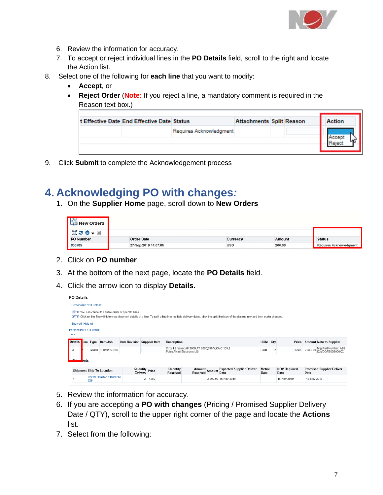

- 6. Review the information for accuracy.
- 7. To accept or reject individual lines in the **PO Details** field, scroll to the right and locate the Action list.
- 8. Select one of the following for **each line** that you want to modify:
	- **Accept**, or
	- **Reject Order** (**Note:** If you reject a line, a mandatory comment is required in the Reason text box.)

| It Effective Date End Effective Date Status |                         | <b>Attachments Split Reason</b> |  | Action |
|---------------------------------------------|-------------------------|---------------------------------|--|--------|
|                                             | Requires Acknowledgment |                                 |  |        |
|                                             |                         |                                 |  |        |
|                                             |                         |                                 |  |        |

9. Click **Submit** to complete the Acknowledgement process

### <span id="page-6-0"></span>**4. Acknowledging PO with changes***:*

1. On the **Supplier Home** page, scroll down to **New Orders**

| <b>New Orders</b><br>. es |                      |            |        |                         |
|---------------------------|----------------------|------------|--------|-------------------------|
| 画記章<br>圃                  |                      |            |        |                         |
| <b>PO Number</b>          | <b>Order Date</b>    | Currency   | Amount | <b>Status</b>           |
| 800785                    | 27-Sep-2019 14:07:09 | <b>USD</b> | 200.00 | Requires Acknowledgment |

- 2. Click on **PO number**
- 3. At the bottom of the next page, locate the **PO Details** field.
- 4. Click the arrow icon to display **Details.**

| <b>PO Details</b>        |     |                                  |                                                        |                                  |                                                                                     |                           |                                                                                                                                                                                    |                       |                             |             |                                                   |
|--------------------------|-----|----------------------------------|--------------------------------------------------------|----------------------------------|-------------------------------------------------------------------------------------|---------------------------|------------------------------------------------------------------------------------------------------------------------------------------------------------------------------------|-----------------------|-----------------------------|-------------|---------------------------------------------------|
| Personalize "PO Details" |     |                                  |                                                        |                                  |                                                                                     |                           |                                                                                                                                                                                    |                       |                             |             |                                                   |
|                          |     |                                  | TIP You can cancel the entire order or specific lines. |                                  |                                                                                     |                           | © TIP Click on the Show link to view shipment details of a line. To split a line into multiple delivery dates, click the split line icon of the desired row and then make changes. |                       |                             |             |                                                   |
| Show All Hide All        |     |                                  |                                                        |                                  |                                                                                     |                           |                                                                                                                                                                                    |                       |                             |             |                                                   |
| Personalize "PO Details" |     |                                  |                                                        |                                  |                                                                                     |                           |                                                                                                                                                                                    |                       |                             |             |                                                   |
| 0.0.0                    |     |                                  |                                                        |                                  |                                                                                     |                           |                                                                                                                                                                                    |                       |                             |             |                                                   |
| Details ine Type         |     | Item/Job                         | Item Revision Supplier Item                            |                                  | <b>Description</b>                                                                  |                           |                                                                                                                                                                                    | UOM Qty               |                             |             | Price Amount Note to Supplier                     |
| ◢                        |     | Goods 10049527-049               |                                                        |                                  | Circuit Breaker, AF 2000; AT 2000; 690 V; KAIC 100; 3<br>Poles:Fixed:Electronic-LSI |                           |                                                                                                                                                                                    | Each                  | 1250                        |             | 2,500.00 Mfg Part Number: ABB,<br>D3VDGFB00B000XC |
| ents ents                |     |                                  |                                                        |                                  |                                                                                     |                           |                                                                                                                                                                                    |                       |                             |             |                                                   |
|                          |     | <b>Shipment Ship-To Location</b> |                                                        | <b>Quantity Price</b><br>Ordered | Quantity<br><b>Received</b>                                                         | Amount Amount<br>Received | <b>Expected Supplier Deliver</b><br>Date                                                                                                                                           | <b>Metric</b><br>Date | <b>NOV Required</b><br>Date | Date        | <b>Promised Supplier Deliver</b>                  |
|                          | 529 | US TX Houston 11929 FM           |                                                        | $\overline{2}$<br>1250           |                                                                                     |                           | 2,500.00 15-Nov-2019                                                                                                                                                               |                       | 15-Nov-2019                 | 15-Nov-2019 |                                                   |

- 5. Review the information for accuracy.
- 6. If you are accepting a **PO with changes** (Pricing / Promised Supplier Delivery Date / QTY), scroll to the upper right corner of the page and locate the **Actions** list.
- 7. Select from the following: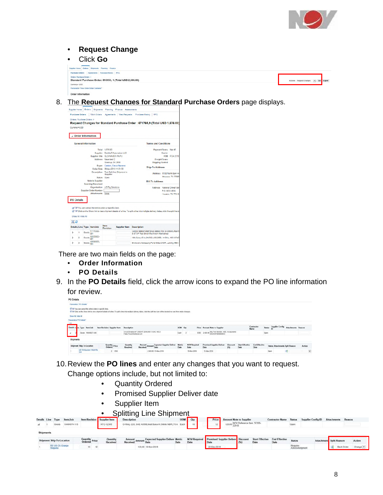

#### • **Request Change**

#### • Click **Go**

| Supplier Home Orders Shipments Planning Finance                                      |                                             |        |
|--------------------------------------------------------------------------------------|---------------------------------------------|--------|
| Agreements Purchase History RFQ<br><b>Purchase Orders</b>                            |                                             |        |
| Orders: Purchase Orders ><br>Standard Purchase Order: 810953, 1 (Total USD 2.500.00) | Actions Request Changes<br>$  \mathbf{v}  $ | Export |
| Cumney» USD                                                                          |                                             |        |
| Personalow "View Order Datai Container"                                              |                                             |        |
| Order Information                                                                    |                                             |        |

8. The **Request Changes for Standard Purchase Orders** page displays.

|                           | <b>Purchase Orders</b> |           | Work Orders                                              | Agreements                      | <b>View Requests</b>                    | Purchase History                                                                                                                       | <b>RFQ</b>                   |                      |                   |
|---------------------------|------------------------|-----------|----------------------------------------------------------|---------------------------------|-----------------------------------------|----------------------------------------------------------------------------------------------------------------------------------------|------------------------------|----------------------|-------------------|
| Orders: Purchase Orders > |                        |           |                                                          |                                 |                                         |                                                                                                                                        |                              |                      |                   |
|                           |                        |           |                                                          |                                 |                                         | Request Changes for Standard Purchase Order : 671765,9 (Total USD 1,676.00)                                                            |                              |                      |                   |
| Currency=USD              |                        |           |                                                          |                                 |                                         |                                                                                                                                        |                              |                      |                   |
|                           |                        |           |                                                          |                                 |                                         |                                                                                                                                        |                              |                      |                   |
|                           |                        |           | <b>Order Information</b>                                 |                                 |                                         |                                                                                                                                        |                              |                      |                   |
|                           |                        |           |                                                          |                                 |                                         |                                                                                                                                        |                              |                      |                   |
|                           |                        |           | <b>General Information</b>                               |                                 |                                         |                                                                                                                                        | <b>Terms and Conditions</b>  |                      |                   |
|                           |                        |           |                                                          | Total 1.676.00                  |                                         |                                                                                                                                        |                              | Payment Terms Net 45 |                   |
|                           |                        |           |                                                          |                                 | Supplier Beckhoff Automation LLC        |                                                                                                                                        |                              | Carrier              |                   |
|                           |                        |           |                                                          | Supplier Site GLO-NAVER-PA/PU   |                                         |                                                                                                                                        |                              |                      | FOB FCA 2010      |
|                           |                        |           |                                                          | Address Naverland 2             |                                         |                                                                                                                                        |                              | <b>Freight Terms</b> |                   |
|                           |                        |           |                                                          | Glostrup, DK 2808               |                                         |                                                                                                                                        | <b>Shipping Control</b>      |                      |                   |
|                           |                        |           |                                                          | Buyer Castain, Elecia Nezrene   |                                         |                                                                                                                                        | <b>Ship-To Address</b>       |                      |                   |
|                           |                        |           |                                                          | Order Date 06-Apr-2018 11:01:30 |                                         |                                                                                                                                        |                              |                      |                   |
|                           |                        |           |                                                          | Supplar                         | Description Test Split line Shipment in |                                                                                                                                        | Address 5100 North Sam He    |                      | Houston, TX 77086 |
|                           |                        |           |                                                          | Status Open                     |                                         |                                                                                                                                        |                              |                      |                   |
|                           |                        |           | Note to Supplier                                         |                                 |                                         |                                                                                                                                        | <b>Bill.To Address</b>       |                      |                   |
|                           |                        |           | <b>Sourcing Document</b>                                 |                                 |                                         |                                                                                                                                        |                              |                      |                   |
|                           |                        |           |                                                          | Organization US Rig Solutions   |                                         |                                                                                                                                        | Address National Oilwell Var |                      |                   |
|                           |                        |           | <b>Supplier Order Number</b>                             |                                 |                                         |                                                                                                                                        |                              | P.O. BOX 4838        |                   |
|                           |                        |           | Attachments None                                         |                                 |                                         |                                                                                                                                        |                              |                      | Houston, TX 77210 |
| <b>PO Details</b>         |                        |           |                                                          |                                 |                                         |                                                                                                                                        |                              |                      |                   |
|                           |                        |           |                                                          |                                 |                                         |                                                                                                                                        |                              |                      |                   |
|                           |                        |           | @ TIP You can cancel the entire order or specific lines. |                                 |                                         |                                                                                                                                        |                              |                      |                   |
|                           |                        |           |                                                          |                                 |                                         |                                                                                                                                        |                              |                      |                   |
|                           |                        |           |                                                          |                                 |                                         |                                                                                                                                        |                              |                      |                   |
|                           |                        |           |                                                          |                                 |                                         | @ TIP Click on the Show link to view shipment details of a line. To split a line into multiple delivery dates, click the split line ic |                              |                      |                   |
|                           | Show All Hide All      |           |                                                          |                                 |                                         |                                                                                                                                        |                              |                      |                   |
|                           |                        |           |                                                          |                                 |                                         |                                                                                                                                        |                              |                      |                   |
| 景念                        |                        |           | Details Line Type Item/Job                               | <b>Hem</b>                      | <b>Supplier Item</b>                    | <b>Description</b>                                                                                                                     |                              |                      |                   |
| ь                         | ۴                      |           | 17770383-                                                | <b>Revision</b>                 |                                         | Control Station Start Stop Station For 2x Motors: Atex/IE                                                                              |                              |                      |                   |
| ь                         | 2                      | Goods 001 | Goods 16500882-                                          |                                 |                                         | E-STOP Red Small Mushroom Maintained<br>HM;Color;15 in;24VDC;USB;3GB;1.4 GHz, 16B CFAS                                                 |                              |                      |                   |

There are two main fields on the page:

- **Order Information**
- **PO Details**
- 9. In the **PO Details** field, click the arrow icons to expand the PO line information for review.



10.Review the **PO lines** and enter any changes that you want to request.

Change options include, but not limited to:

- Quantity Ordered
- Promised Supplier Deliver date
- Supplier Item
- Splitting Line Shipment

|                  |                                   | petans time type itemisob | - item Kevision <b>  Supplier item</b> |                      | <b>Description</b>                                                   |      | now I and                                               | <b>PICE</b> I | <b>Amount Note to Supplier</b> |                                       | Contractor Name Status                |                            | supplier contig it) attachments |                                | <b>KRASOB</b> |          |
|------------------|-----------------------------------|---------------------------|----------------------------------------|----------------------|----------------------------------------------------------------------|------|---------------------------------------------------------|---------------|--------------------------------|---------------------------------------|---------------------------------------|----------------------------|---------------------------------|--------------------------------|---------------|----------|
|                  | Goods                             | 10490074-115              |                                        | HTC-12345            | O-Ring, 220, SAE AS568 Matt Buna-N (Nitrile NBR), 70 A Each          |      |                                                         |               |                                | 12   120,00 NOV Reference Rem. 51300- |                                       | Open                       |                                 |                                |               |          |
| <b>Shipments</b> |                                   |                           |                                        |                      |                                                                      |      |                                                         |               |                                |                                       |                                       |                            |                                 |                                |               |          |
|                  | Shipment Ship To Location         |                           | Quantity<br>Ordered Price              | Quantity<br>Received | Expected Supplier Deliver Metric<br><b>Amount</b><br>Received Amount | Date | NOV Required Promised Supplier Deliver Discount<br>Date | <b>Date</b>   |                                | Date                                  | Start Effective End Effective<br>Date | Status                     |                                 | <b>Attachment</b> Split Reason |               | Action   |
|                  | <b>RS US CA Orange</b><br>Séguola |                           | $+2$<br>10 <sub>1</sub>                |                      | 120.00 18-Nov-2019                                                   |      |                                                         | 22-Dec-2019   |                                |                                       |                                       | Requires<br>Acknowledgment |                                 | <b>Line 1</b>                  | Back Order    | Change V |

<u>na marao amin'ny faritr'i Nord-Amerika dia 48.</u><br>Ny INSEE dia mampiasa ny kaodim-paositra 2008–2014. Ilay kaominina dia kaominina mpikambana amin'ny fivondrona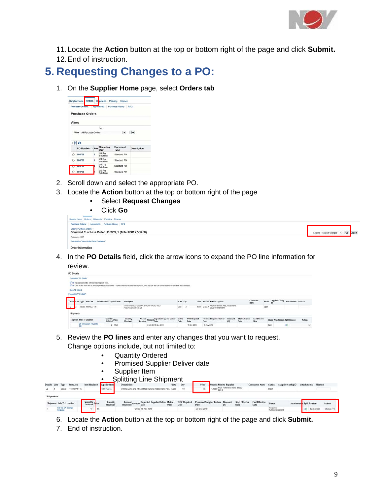

11.Locate the **Action** button at the top or bottom right of the page and click **Submit.**

12.End of instruction.

## <span id="page-8-0"></span>**5. Requesting Changes to a PO:**

1. On the **Supplier Home** page, select **Orders tab**

|         | Purchase Orders Pagreements Purchase History |   |                            |                                | <b>RFO</b>         |
|---------|----------------------------------------------|---|----------------------------|--------------------------------|--------------------|
|         |                                              |   |                            |                                |                    |
|         | <b>Purchase Orders</b>                       |   |                            |                                |                    |
|         |                                              |   |                            |                                |                    |
|         | <b>Views</b>                                 |   |                            |                                |                    |
|         |                                              |   | ₿                          |                                |                    |
|         |                                              |   |                            |                                |                    |
|         |                                              |   |                            |                                |                    |
|         | View All Purchase Orders                     |   |                            | $\overline{\mathsf{v}}$        | Go                 |
|         |                                              |   |                            |                                |                    |
|         | 面容                                           |   |                            |                                |                    |
|         | PO Number<br>Rev                             |   | Operating<br>Unit          | <b>Document</b><br><b>Type</b> | <b>Description</b> |
| Ō       | 800788                                       | ó | US Rig<br>Solutions        | Standard PO                    |                    |
| $\circ$ | 800786                                       | ŧ | US Rig<br>Solutions        | Standard PO                    |                    |
|         | <b><i><u>INNSTERNET</u></i></b>              |   | <b>US Rig</b><br>Solutions | Standard PO                    |                    |

- 2. Scroll down and select the appropriate PO.
- 3. Locate the **Action** button at the top or bottom right of the page
	- Select **Request Changes**

| Click Go<br>٠                                                                                                                  |                                          |
|--------------------------------------------------------------------------------------------------------------------------------|------------------------------------------|
| Orders Shipments Planning Finance<br>Supplier Home                                                                             |                                          |
| Agreements Purchase History RFQ<br><b>Purchase Orders</b>                                                                      |                                          |
| Orders: Purchase Orders ><br>TEST DUM A VIAGO E FEMALE CONTRADORERA<br>Standard Purchase Order: 810953, 1 (Total USD 2,500.00) | Actions Request Changes  V  Go<br>Export |
| Currency= USD                                                                                                                  |                                          |
| Personalize "View Order Detail Container"                                                                                      |                                          |
| Order Information                                                                                                              |                                          |

4. In the **PO Details** field, click the arrow icons to expand the PO line information for review.

| PO Details                                               |                                    |                             |                                                                                                                                                                                     |                       |                             |                                                 |                       |                                |                              |                                        |                    |        |
|----------------------------------------------------------|------------------------------------|-----------------------------|-------------------------------------------------------------------------------------------------------------------------------------------------------------------------------------|-----------------------|-----------------------------|-------------------------------------------------|-----------------------|--------------------------------|------------------------------|----------------------------------------|--------------------|--------|
| Paranolice '9'O Details'                                 |                                    |                             |                                                                                                                                                                                     |                       |                             |                                                 |                       |                                |                              |                                        |                    |        |
| Of TP You can cancel the entire order or specific lines. |                                    |                             | If TIP Click on the Dhew link to view shipment details of a line. To split a line into multiple delivery dates, click the split line icon of the desired row and then make changes. |                       |                             |                                                 |                       |                                |                              |                                        |                    |        |
| Shey All Hds Att                                         |                                    |                             |                                                                                                                                                                                     |                       |                             |                                                 |                       |                                |                              |                                        |                    |        |
| Personaltye "PD Details"                                 |                                    |                             |                                                                                                                                                                                     |                       |                             |                                                 |                       |                                |                              |                                        |                    |        |
|                                                          |                                    |                             |                                                                                                                                                                                     |                       |                             |                                                 |                       |                                | Contractor                   | <b>Supplier Config</b>                 |                    |        |
| Details Line Type hom/Job                                | <b>Item Revision Supplier Item</b> | Description                 |                                                                                                                                                                                     | UCM Ctv               |                             | Price Amount Note to Supplier                   |                       |                                | <b>Name</b>                  | <b>Status</b><br>ID                    | Attachments Reason |        |
| Goods 10049527-049                                       |                                    | Pules Fixed Electronic LSI  | Circuit Etreaker, AF 2000; AT 2000; 690 V KAIC 100:3                                                                                                                                | Each                  |                             | 1250 2.503.09 Mg Part Number: ABB, Incorporated |                       |                                |                              | Cpen                                   |                    |        |
| Shipments                                                |                                    |                             |                                                                                                                                                                                     |                       |                             |                                                 |                       |                                |                              |                                        |                    |        |
| Shipment Ship-To Location                                | Quantity Price                     | <b>Quantity</b><br>Received | Amount Amount Expected Supplier Deliver<br>Received Amount Date                                                                                                                     | <b>Metric</b><br>Date | <b>NOV Required</b><br>Date | <b>Promised Supplier Deliver</b><br>Date        | <b>Elscount</b><br>CS | <b>Start Effective</b><br>Dato | <b>End Effective</b><br>Date | <b>Status Attachments Split Reason</b> |                    | Action |
| US TX Houston 11929 FM<br>529                            | $2 - 1250$                         |                             | 2.500.00 15-Nov-2019                                                                                                                                                                |                       | 15-Nov-2019                 | 15-Nov-2019                                     |                       |                                |                              | Open                                   | 曯                  | ×      |

- 5. Review the **PO lines** and enter any changes that you want to request. Change options include, but not limited to:
	- Quantity Ordered
	- Promised Supplier Deliver date
	- Supplier Item

|              |                            |                 |               |                                    | <b>Splitting Line Shipment</b>                                                           |            |                             |                                          |                        |                                  |                              |               |                    |                         |        |            |
|--------------|----------------------------|-----------------|---------------|------------------------------------|------------------------------------------------------------------------------------------|------------|-----------------------------|------------------------------------------|------------------------|----------------------------------|------------------------------|---------------|--------------------|-------------------------|--------|------------|
| letails Line |                            | <b>Item/Job</b> |               | <b>Item Revision</b> Supplier Item | Description                                                                              | <b>UOM</b> | Oty                         | Price                                    | mount Note to Supplier |                                  | <b>Contractor Name</b>       | <b>Status</b> | Sunglier Config ID | Attachments             | Reason |            |
| â            | Goods                      | 10490074-115    |               | HTC-12345                          | NBR):70 A Each<br><b>BARAR</b><br>Matt Rung-N (Nitrile)<br>0.85 <sub>0</sub><br>220. SAF |            | 10                          |                                          |                        | 120,00 NOV Reference hem. 51300- |                              | Open          |                    |                         |        |            |
| Shipments    |                            |                 |               |                                    |                                                                                          |            |                             |                                          |                        |                                  |                              |               |                    |                         |        |            |
|              | Shipment Ship-To Location  |                 | Quantity Pice | Quantity<br>Received               | Amount Amount Expected Supplier Deliver Metric<br>Received<br>Date                       | Date       | <b>NOV Required</b><br>Date | <b>Promised Supplier Deliver</b><br>Date | <b>Discount</b><br>(5) | <b>Start Effective</b><br>Date   | <b>End Effective</b><br>Date | <b>Status</b> |                    | Attachment Split Reason |        | Action     |
|              | RS US CA Orange<br>Seguoia |                 | 10            |                                    | 120.00 15-Nov-2019                                                                       |            |                             | 22-Dec-2019                              |                        |                                  |                              | Requires      |                    |                         |        | Change [V] |

- 6. Locate the **Action** button at the top or bottom right of the page and click **Submit.**
- 7. End of instruction.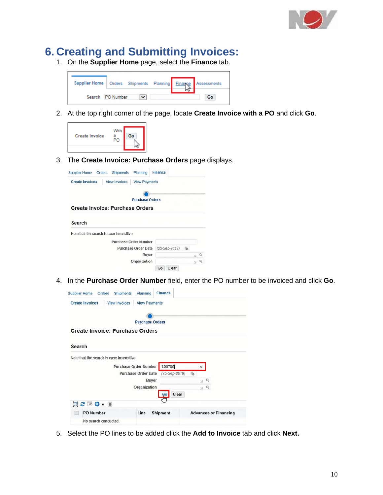

### **6. Creating and Submitting Invoices:**

1. On the **Supplier Home** page, select the **Finance** tab.



2. At the top right corner of the page, locate **Create Invoice with a PO** and click **Go**.



3. The **Create Invoice: Purchase Orders** page displays.

| <b>View Invoices</b><br><b>Create Invoices</b><br><b>View Payments</b> |                    |
|------------------------------------------------------------------------|--------------------|
|                                                                        |                    |
| <b>Purchase Orders</b>                                                 |                    |
| Create Invoice: Purchase Orders                                        |                    |
|                                                                        |                    |
|                                                                        |                    |
| Search                                                                 |                    |
|                                                                        |                    |
| Note that the search is case insensitive<br>Purchase Order Number      |                    |
| <b>Purchase Order Date</b>                                             | 箔<br>(25-Sep-2019) |
| <b>Buyer</b>                                                           | $Q =$              |

4. In the **Purchase Order Number** field, enter the PO number to be invoiced and click **Go**.

|                                                | <b>Finance</b><br><b>Shipments</b><br>Planning |                    |                              |
|------------------------------------------------|------------------------------------------------|--------------------|------------------------------|
| <b>View Invoices</b><br><b>Create Invoices</b> | <b>View Payments</b>                           |                    |                              |
|                                                |                                                |                    |                              |
|                                                | <b>Purchase Orders</b>                         |                    |                              |
| <b>Create Invoice: Purchase Orders</b>         |                                                |                    |                              |
|                                                |                                                |                    |                              |
|                                                |                                                |                    |                              |
| Search                                         |                                                |                    |                              |
| Note that the search is case insensitive       |                                                |                    |                              |
|                                                | Purchase Order Number                          | 800785             | ×                            |
|                                                |                                                |                    |                              |
|                                                | <b>Purchase Order Date</b>                     | (25-Sep-2019)      | te.                          |
|                                                | <b>Buver</b>                                   |                    | $Q = 2$                      |
|                                                | Organization                                   |                    |                              |
|                                                |                                                |                    | $Q \cong$                    |
|                                                |                                                | Clear<br><b>Go</b> |                              |
| 真ご同様、画                                         |                                                |                    |                              |
| <b>PO Number</b>                               | Line                                           | <b>Shipment</b>    | <b>Advances or Financing</b> |

5. Select the PO lines to be added click the **Add to Invoice** tab and click **Next.**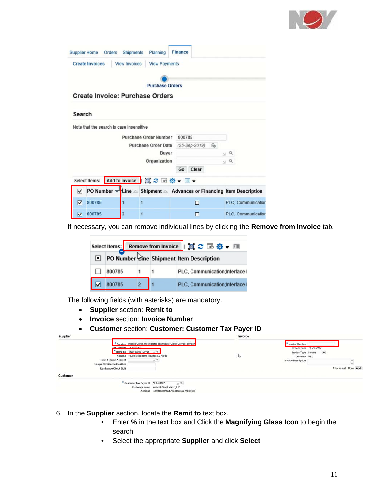

| <b>Supplier Home</b><br>Orders           | <b>Shipments</b><br>Planning                 | <b>Finance</b>                                                                                      |                     |
|------------------------------------------|----------------------------------------------|-----------------------------------------------------------------------------------------------------|---------------------|
| <b>Create Invoices</b>                   | <b>View Invoices</b><br><b>View Payments</b> |                                                                                                     |                     |
|                                          |                                              |                                                                                                     |                     |
|                                          |                                              | <b>Purchase Orders</b>                                                                              |                     |
| Create Invoice: Purchase Orders          |                                              |                                                                                                     |                     |
|                                          |                                              |                                                                                                     |                     |
| Search                                   |                                              |                                                                                                     |                     |
| Note that the search is case insensitive |                                              |                                                                                                     |                     |
|                                          | <b>Purchase Order Number</b>                 | 800785                                                                                              |                     |
|                                          | <b>Purchase Order Date</b>                   | (25-Sep-2019)<br>lie.                                                                               |                     |
|                                          |                                              | Buyer                                                                                               | Q<br>$\mathbb{N}$   |
|                                          | Organization                                 |                                                                                                     | $\alpha$<br>$^{51}$ |
|                                          |                                              | Clear<br>Go                                                                                         |                     |
| <b>Select Items:</b>                     | Add to Invoice                               | 真之 「 な - 皿 -                                                                                        |                     |
| ⊽                                        |                                              | PO Number $\mathbf{v}$ Line $\triangle$ Shipment $\triangle$ Advances or Financing Item Description |                     |
| 800785<br>☑                              | 1                                            | ⊓                                                                                                   | PLC, Communication  |
| ⊽<br>800785                              | $\overline{2}$<br>1                          | П                                                                                                   | PLC, Communication  |

If necessary, you can remove individual lines by clicking the **Remove from Invoice** tab.

| Select Items: Remove from Invoice    圓 2 回 登 ▼ |  | 狐 |                                          |
|------------------------------------------------|--|---|------------------------------------------|
|                                                |  |   | PO Number sine Shipment Item Description |
| 800785                                         |  |   | PLC, Communication;Interface I           |
| 800785                                         |  |   | PLC, Communication;Interface I           |

The following fields (with asterisks) are mandatory.

- **Supplier** section: **Remit to**
- **Invoice** section: **Invoice Number**
- **Customer** section: **Customer: Customer Tax Payer ID**

| Supplier |                                     |                                          |                                                                          | Invoice |                            |        |            |          |
|----------|-------------------------------------|------------------------------------------|--------------------------------------------------------------------------|---------|----------------------------|--------|------------|----------|
|          |                                     |                                          | Supplier Mistras Group, Incorporated dba Mistras Group Services Division |         | <b>Invoice Number</b>      |        |            |          |
|          |                                     | The Boone IB 23 324587                   |                                                                          |         | Invoice Date 10-Oct-2019   |        |            |          |
|          |                                     | Remit To HOU-10980-PA/PU v Q             |                                                                          |         | Invoice Type Invoice       | $\vee$ |            |          |
|          |                                     | Address 10980 Metronome Houston TX 77043 |                                                                          | 1d      | Currency USD               |        |            |          |
|          | <b>Remit To Bank Account</b>        |                                          | $\alpha$                                                                 |         | <b>Invoice Description</b> |        |            |          |
|          | <b>Unique Remittance Identifier</b> |                                          |                                                                          |         |                            |        |            |          |
|          | <b>Remittance Check Digit</b>       |                                          |                                                                          |         |                            |        | Attachment | None Add |
| Customer |                                     |                                          |                                                                          |         |                            |        |            |          |
|          |                                     | " Customer Tax Payer ID 76-0488987       | $P_{M}$                                                                  |         |                            |        |            |          |
|          |                                     |                                          | Customer Name National Oilwell Varco, L.P.                               |         |                            |        |            |          |
|          |                                     |                                          | Address 10000 Richmond Ave Houston 77042 US                              |         |                            |        |            |          |

- 6. In the **Supplier** section, locate the **Remit to** text box.
	- Enter **%** in the text box and Click the **Magnifying Glass Icon** to begin the search
	- Select the appropriate **Supplier** and click **Select**.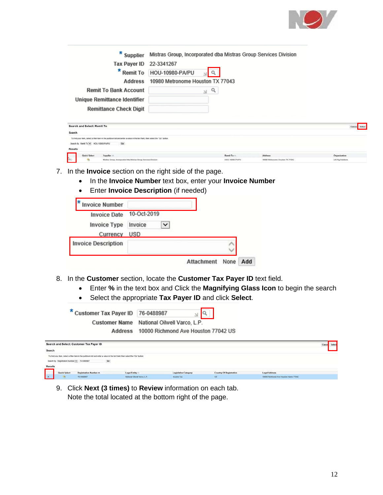

| ×<br><b>Supplier</b><br><b>Tax Payer ID</b><br>×<br><b>Remit To</b><br>Address<br><b>Remit To Bank Account</b><br><b>Unique Remittance Identifier</b><br><b>Remittance Check Digit</b> | Mistras Group, Incorporated dba Mistras Group Services Division<br>22-3341267<br>HOU-10980-PA/PU<br>10980 Metronome Houston TX 77043<br>Q<br>$\mathbb{N}$ |                             |                                             |                                  |
|----------------------------------------------------------------------------------------------------------------------------------------------------------------------------------------|-----------------------------------------------------------------------------------------------------------------------------------------------------------|-----------------------------|---------------------------------------------|----------------------------------|
| Search and Select: Remit To                                                                                                                                                            |                                                                                                                                                           |                             |                                             | Cancel Select                    |
| Search                                                                                                                                                                                 |                                                                                                                                                           |                             |                                             |                                  |
| To find your item, select a filter item in the pulldown list and enter a value in the text field, then select the "Go" button.                                                         |                                                                                                                                                           |                             |                                             |                                  |
| Go<br>Search By Remit To V HOU-10980-PAPU<br>Results                                                                                                                                   |                                                                                                                                                           |                             |                                             |                                  |
|                                                                                                                                                                                        |                                                                                                                                                           |                             |                                             |                                  |
| Quick Select<br>Supplier <<br>$\infty$<br>a,<br>Mistras Group, Incorporated dba Mistras Group Services Division                                                                        |                                                                                                                                                           | Remit To<br>HOU-10980-PA/PU | Address<br>10980 Metronome Houston TX 77043 | Organization<br>US Rig Solutions |

- 7. In the **Invoice** section on the right side of the page.
	- In the **Invoice Number** text box, enter your **Invoice Number**
	- Enter **Invoice Description** (if needed)

| <b>Invoice Number</b>      |                        |                   |      |     |
|----------------------------|------------------------|-------------------|------|-----|
| <b>Invoice Date</b>        | 10-Oct-2019            |                   |      |     |
| <b>Invoice Type</b>        | Invoice<br>$\check{ }$ |                   |      |     |
| Currency                   | USD                    |                   |      |     |
| <b>Invoice Description</b> |                        |                   |      |     |
|                            |                        | <b>Attachment</b> | None | Add |

- 8. In the **Customer** section, locate the **Customer Tax Payer ID** text field.
	- Enter **%** in the text box and Click the **Magnifying Glass Icon** to begin the search
	- Select the appropriate **Tax Payer ID** and click **Select**.

| *                                          | <b>Customer Tax Payer ID</b><br>Address                                                                                              | 76-0488987<br>Customer Name National Oilwell Varco, L.P.<br>10000 Richmond Ave Houston 77042 US |                             |                         |                                       |        |
|--------------------------------------------|--------------------------------------------------------------------------------------------------------------------------------------|-------------------------------------------------------------------------------------------------|-----------------------------|-------------------------|---------------------------------------|--------|
| Search and Select: Customer Tax Payer ID   |                                                                                                                                      |                                                                                                 |                             |                         |                                       | Select |
| Search                                     |                                                                                                                                      |                                                                                                 |                             |                         |                                       |        |
| Search By Registration Number V 76-0488987 | To find your item, select a filter item in the pulldown list and enter a value in the text field. then select the "Go" button.<br>Go |                                                                                                 |                             |                         |                                       |        |
| <b>Results</b>                             |                                                                                                                                      |                                                                                                 |                             |                         |                                       |        |
| Quick Select<br>Registration Number A      | Legal Entity                                                                                                                         |                                                                                                 | <b>Legislative Category</b> | Country Of Registration | <b>Legal Address</b>                  |        |
| 76-0488987                                 |                                                                                                                                      | National Otherst Varco, L.P.<br>Income Tax                                                      | US:                         |                         | 10000 Richmond Ave Houston Hams 77042 |        |

9. Click **Next (3 times)** to **Review** information on each tab. Note the total located at the bottom right of the page.